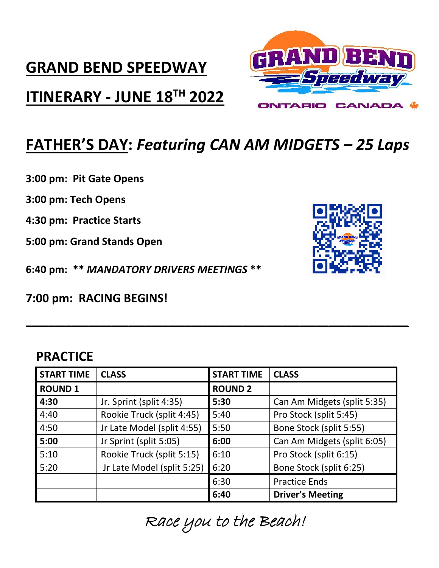## **GRAND BEND SPEEDWAY**

### **ITINERARY - JUNE 18TH 2022**



## **FATHER'S DAY:** *Featuring CAN AM MIDGETS – 25 Laps*

**3:00 pm: Pit Gate Opens**

**3:00 pm: Tech Opens**

**4:30 pm: Practice Starts**

**5:00 pm: Grand Stands Open**

**6:40 pm: \*\*** *MANDATORY DRIVERS MEETINGS* **\*\***

**7:00 pm: RACING BEGINS!**

#### **PRACTICE**

| <b>START TIME</b> | <b>CLASS</b>               | <b>START TIME</b> | <b>CLASS</b>                |
|-------------------|----------------------------|-------------------|-----------------------------|
| <b>ROUND 1</b>    |                            | <b>ROUND 2</b>    |                             |
| 4:30              | Jr. Sprint (split 4:35)    | 5:30              | Can Am Midgets (split 5:35) |
| 4:40              | Rookie Truck (split 4:45)  | 5:40              | Pro Stock (split 5:45)      |
| 4:50              | Jr Late Model (split 4:55) | 5:50              | Bone Stock (split 5:55)     |
| 5:00              | Jr Sprint (split 5:05)     | 6:00              | Can Am Midgets (split 6:05) |
| 5:10              | Rookie Truck (split 5:15)  | 6:10              | Pro Stock (split 6:15)      |
| 5:20              | Jr Late Model (split 5:25) | 6:20              | Bone Stock (split 6:25)     |
|                   |                            | 6:30              | <b>Practice Ends</b>        |
|                   |                            | 6:40              | <b>Driver's Meeting</b>     |

**\_\_\_\_\_\_\_\_\_\_\_\_\_\_\_\_\_\_\_\_\_\_\_\_\_\_\_\_\_\_\_\_\_\_\_\_\_\_\_\_\_\_\_\_\_\_\_\_\_\_\_\_\_\_\_\_\_\_\_\_\_\_\_\_\_\_\_**

Race you to the Beach!